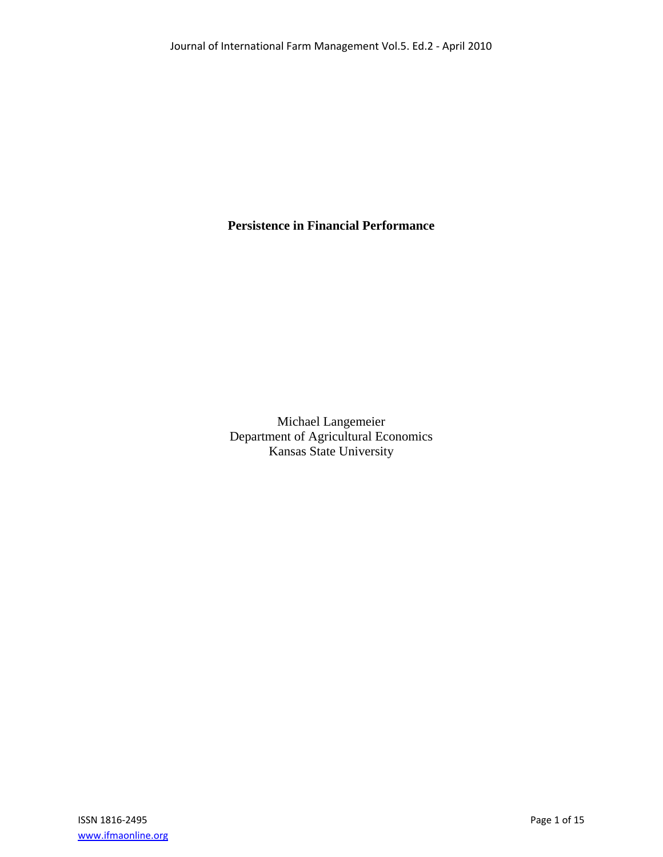# **Persistence in Financial Performance**

Michael Langemeier Department of Agricultural Economics Kansas State University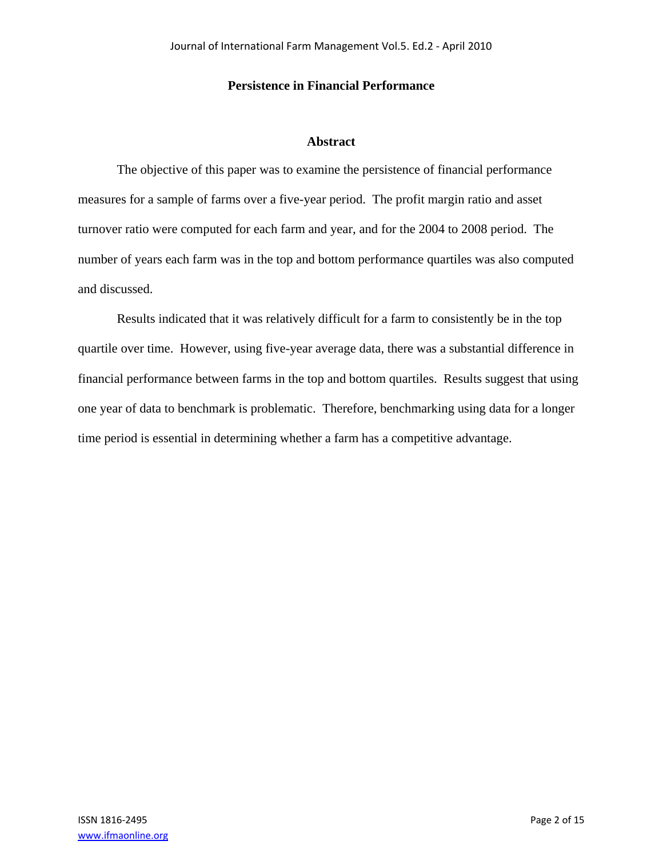# **Persistence in Financial Performance**

### **Abstract**

The objective of this paper was to examine the persistence of financial performance measures for a sample of farms over a five-year period. The profit margin ratio and asset turnover ratio were computed for each farm and year, and for the 2004 to 2008 period. The number of years each farm was in the top and bottom performance quartiles was also computed and discussed.

Results indicated that it was relatively difficult for a farm to consistently be in the top quartile over time. However, using five-year average data, there was a substantial difference in financial performance between farms in the top and bottom quartiles. Results suggest that using one year of data to benchmark is problematic. Therefore, benchmarking using data for a longer time period is essential in determining whether a farm has a competitive advantage.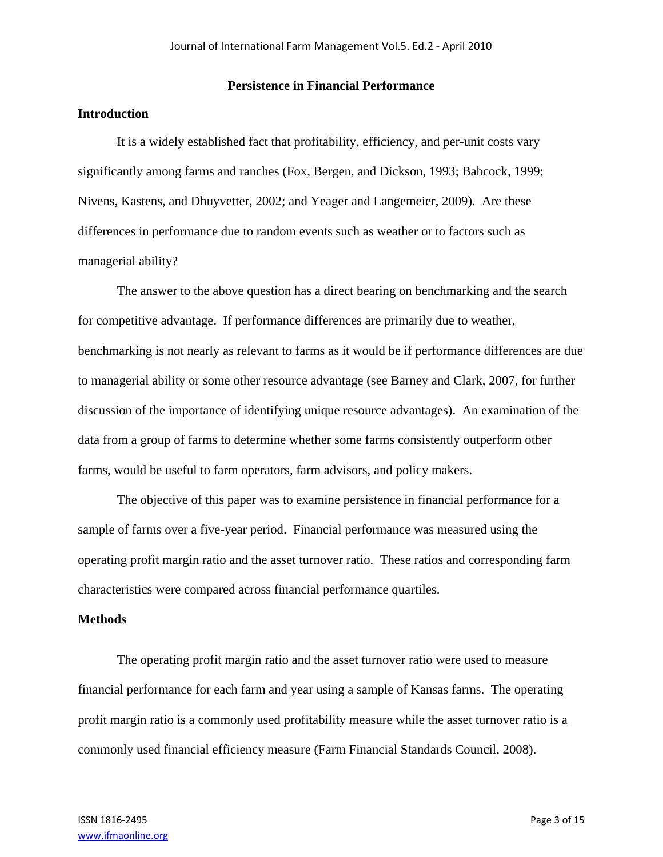#### **Persistence in Financial Performance**

## **Introduction**

 It is a widely established fact that profitability, efficiency, and per-unit costs vary significantly among farms and ranches (Fox, Bergen, and Dickson, 1993; Babcock, 1999; Nivens, Kastens, and Dhuyvetter, 2002; and Yeager and Langemeier, 2009). Are these differences in performance due to random events such as weather or to factors such as managerial ability?

 The answer to the above question has a direct bearing on benchmarking and the search for competitive advantage. If performance differences are primarily due to weather, benchmarking is not nearly as relevant to farms as it would be if performance differences are due to managerial ability or some other resource advantage (see Barney and Clark, 2007, for further discussion of the importance of identifying unique resource advantages). An examination of the data from a group of farms to determine whether some farms consistently outperform other farms, would be useful to farm operators, farm advisors, and policy makers.

 The objective of this paper was to examine persistence in financial performance for a sample of farms over a five-year period. Financial performance was measured using the operating profit margin ratio and the asset turnover ratio. These ratios and corresponding farm characteristics were compared across financial performance quartiles.

### **Methods**

 The operating profit margin ratio and the asset turnover ratio were used to measure financial performance for each farm and year using a sample of Kansas farms. The operating profit margin ratio is a commonly used profitability measure while the asset turnover ratio is a commonly used financial efficiency measure (Farm Financial Standards Council, 2008).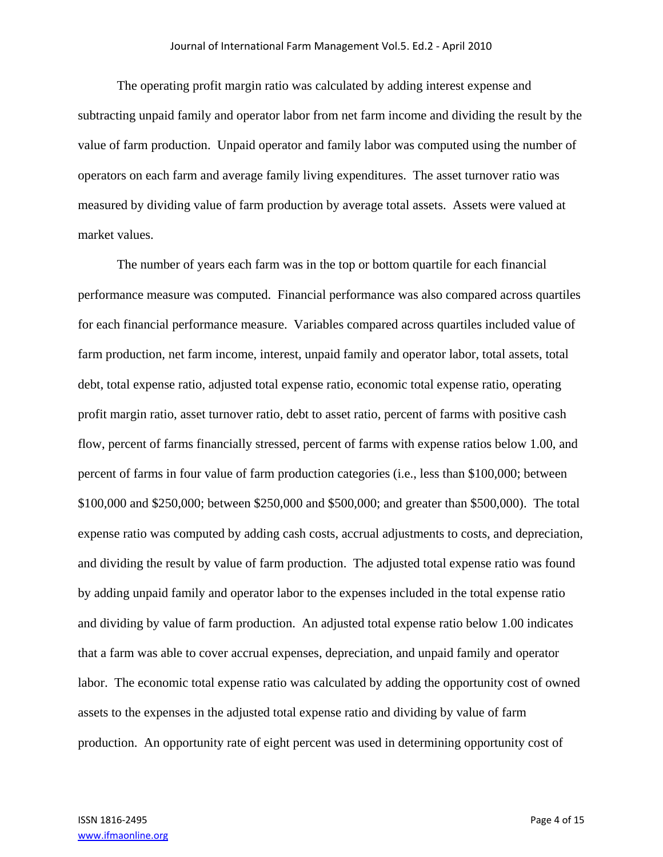The operating profit margin ratio was calculated by adding interest expense and subtracting unpaid family and operator labor from net farm income and dividing the result by the value of farm production. Unpaid operator and family labor was computed using the number of operators on each farm and average family living expenditures. The asset turnover ratio was measured by dividing value of farm production by average total assets. Assets were valued at market values.

 The number of years each farm was in the top or bottom quartile for each financial performance measure was computed. Financial performance was also compared across quartiles for each financial performance measure. Variables compared across quartiles included value of farm production, net farm income, interest, unpaid family and operator labor, total assets, total debt, total expense ratio, adjusted total expense ratio, economic total expense ratio, operating profit margin ratio, asset turnover ratio, debt to asset ratio, percent of farms with positive cash flow, percent of farms financially stressed, percent of farms with expense ratios below 1.00, and percent of farms in four value of farm production categories (i.e., less than \$100,000; between \$100,000 and \$250,000; between \$250,000 and \$500,000; and greater than \$500,000). The total expense ratio was computed by adding cash costs, accrual adjustments to costs, and depreciation, and dividing the result by value of farm production. The adjusted total expense ratio was found by adding unpaid family and operator labor to the expenses included in the total expense ratio and dividing by value of farm production. An adjusted total expense ratio below 1.00 indicates that a farm was able to cover accrual expenses, depreciation, and unpaid family and operator labor. The economic total expense ratio was calculated by adding the opportunity cost of owned assets to the expenses in the adjusted total expense ratio and dividing by value of farm production. An opportunity rate of eight percent was used in determining opportunity cost of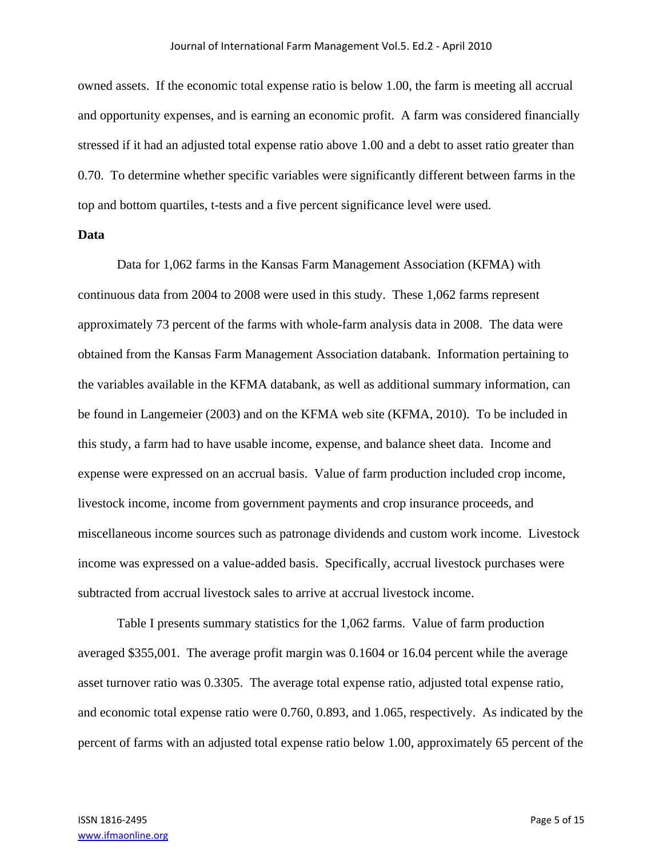owned assets. If the economic total expense ratio is below 1.00, the farm is meeting all accrual and opportunity expenses, and is earning an economic profit. A farm was considered financially stressed if it had an adjusted total expense ratio above 1.00 and a debt to asset ratio greater than 0.70. To determine whether specific variables were significantly different between farms in the top and bottom quartiles, t-tests and a five percent significance level were used.

#### **Data**

Data for 1,062 farms in the Kansas Farm Management Association (KFMA) with continuous data from 2004 to 2008 were used in this study. These 1,062 farms represent approximately 73 percent of the farms with whole-farm analysis data in 2008. The data were obtained from the Kansas Farm Management Association databank. Information pertaining to the variables available in the KFMA databank, as well as additional summary information, can be found in Langemeier (2003) and on the KFMA web site (KFMA, 2010). To be included in this study, a farm had to have usable income, expense, and balance sheet data. Income and expense were expressed on an accrual basis. Value of farm production included crop income, livestock income, income from government payments and crop insurance proceeds, and miscellaneous income sources such as patronage dividends and custom work income. Livestock income was expressed on a value-added basis. Specifically, accrual livestock purchases were subtracted from accrual livestock sales to arrive at accrual livestock income.

 Table I presents summary statistics for the 1,062 farms. Value of farm production averaged \$355,001. The average profit margin was 0.1604 or 16.04 percent while the average asset turnover ratio was 0.3305. The average total expense ratio, adjusted total expense ratio, and economic total expense ratio were 0.760, 0.893, and 1.065, respectively. As indicated by the percent of farms with an adjusted total expense ratio below 1.00, approximately 65 percent of the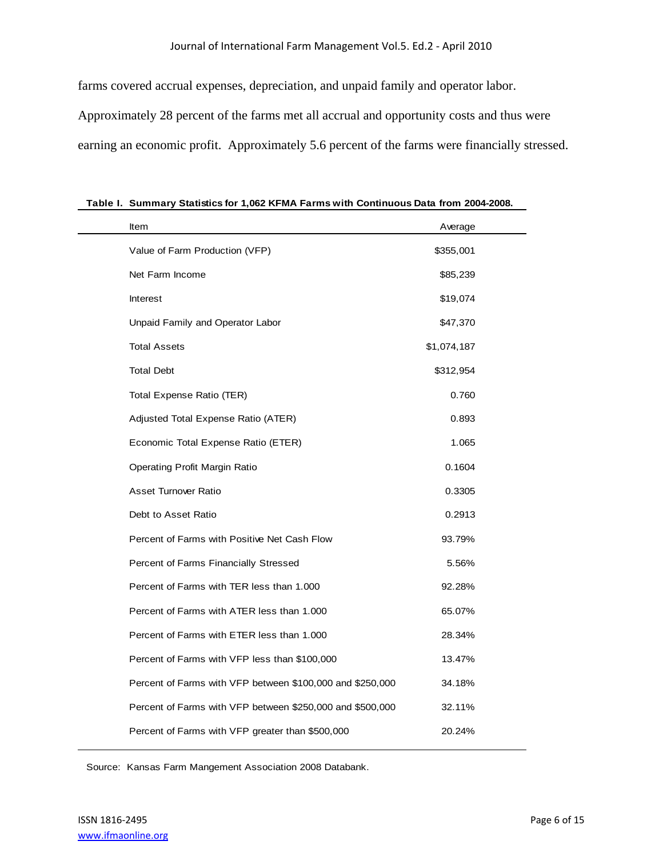farms covered accrual expenses, depreciation, and unpaid family and operator labor. Approximately 28 percent of the farms met all accrual and opportunity costs and thus were earning an economic profit. Approximately 5.6 percent of the farms were financially stressed.

| Item                                                      | Average     |  |
|-----------------------------------------------------------|-------------|--|
| Value of Farm Production (VFP)                            | \$355,001   |  |
| Net Farm Income                                           | \$85,239    |  |
| <b>Interest</b>                                           | \$19,074    |  |
| Unpaid Family and Operator Labor                          | \$47,370    |  |
| <b>Total Assets</b>                                       | \$1,074,187 |  |
| <b>Total Debt</b>                                         | \$312,954   |  |
| Total Expense Ratio (TER)                                 | 0.760       |  |
| Adjusted Total Expense Ratio (ATER)                       | 0.893       |  |
| Economic Total Expense Ratio (ETER)                       | 1.065       |  |
| Operating Profit Margin Ratio                             | 0.1604      |  |
| <b>Asset Turnover Ratio</b>                               | 0.3305      |  |
| Debt to Asset Ratio                                       | 0.2913      |  |
| Percent of Farms with Positive Net Cash Flow              | 93.79%      |  |
| Percent of Farms Financially Stressed                     | 5.56%       |  |
| Percent of Farms with TER less than 1,000                 | 92.28%      |  |
| Percent of Farms with ATER less than 1.000                | 65.07%      |  |
| Percent of Farms with ETER less than 1,000                | 28.34%      |  |
| Percent of Farms with VFP less than \$100,000             | 13.47%      |  |
| Percent of Farms with VFP between \$100,000 and \$250,000 | 34.18%      |  |
| Percent of Farms with VFP between \$250,000 and \$500,000 | 32.11%      |  |
| Percent of Farms with VFP greater than \$500,000          | 20.24%      |  |

**Table I. Summary Statistics for 1,062 KFMA Farms with Continuous Data from 2004-2008.**

Source: Kansas Farm Mangement Association 2008 Databank.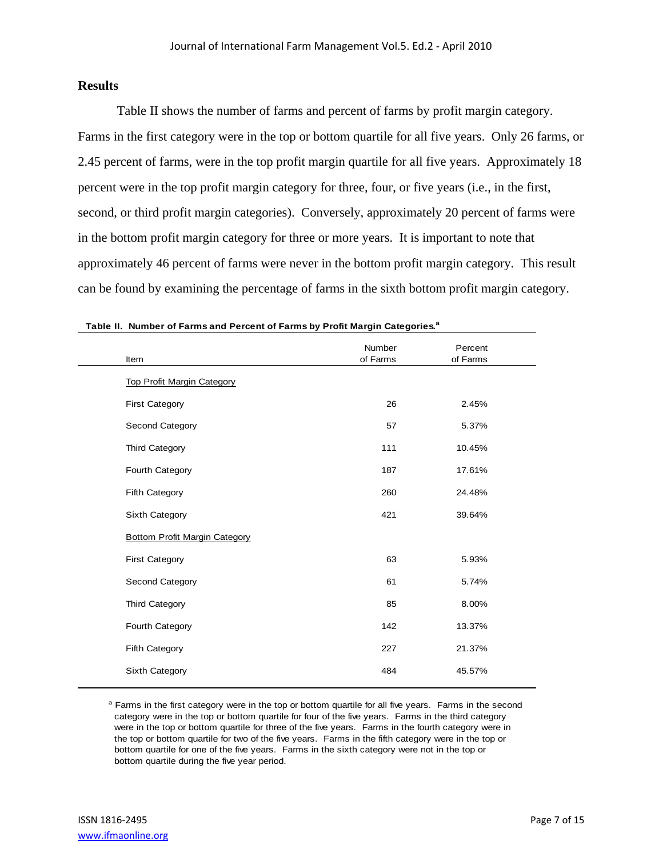## **Results**

 Table II shows the number of farms and percent of farms by profit margin category. Farms in the first category were in the top or bottom quartile for all five years. Only 26 farms, or 2.45 percent of farms, were in the top profit margin quartile for all five years. Approximately 18 percent were in the top profit margin category for three, four, or five years (i.e., in the first, second, or third profit margin categories). Conversely, approximately 20 percent of farms were in the bottom profit margin category for three or more years. It is important to note that approximately 46 percent of farms were never in the bottom profit margin category. This result can be found by examining the percentage of farms in the sixth bottom profit margin category.

| Item                              | Number<br>of Farms | Percent<br>of Farms |  |
|-----------------------------------|--------------------|---------------------|--|
| <b>Top Profit Margin Category</b> |                    |                     |  |
| <b>First Category</b>             | 26                 | 2.45%               |  |
| Second Category                   | 57                 | 5.37%               |  |
| Third Category                    | 111                | 10.45%              |  |
| Fourth Category                   | 187                | 17.61%              |  |
| Fifth Category                    | 260                | 24.48%              |  |
| Sixth Category                    | 421                | 39.64%              |  |
| Bottom Profit Margin Category     |                    |                     |  |
| <b>First Category</b>             | 63                 | 5.93%               |  |
| Second Category                   | 61                 | 5.74%               |  |
| Third Category                    | 85                 | 8.00%               |  |
| Fourth Category                   | 142                | 13.37%              |  |
| Fifth Category                    | 227                | 21.37%              |  |
| Sixth Category                    | 484                | 45.57%              |  |
|                                   |                    |                     |  |

| Table II. Number of Farms and Percent of Farms by Profit Margin Categories. <sup>a</sup> |  |
|------------------------------------------------------------------------------------------|--|
|------------------------------------------------------------------------------------------|--|

<sup>a</sup> Farms in the first category were in the top or bottom quartile for all five years. Farms in the second category were in the top or bottom quartile for four of the five years. Farms in the third category were in the top or bottom quartile for three of the five years. Farms in the fourth category were in the top or bottom quartile for two of the five years. Farms in the fifth category were in the top or bottom quartile for one of the five years. Farms in the sixth category were not in the top or bottom quartile during the five year period.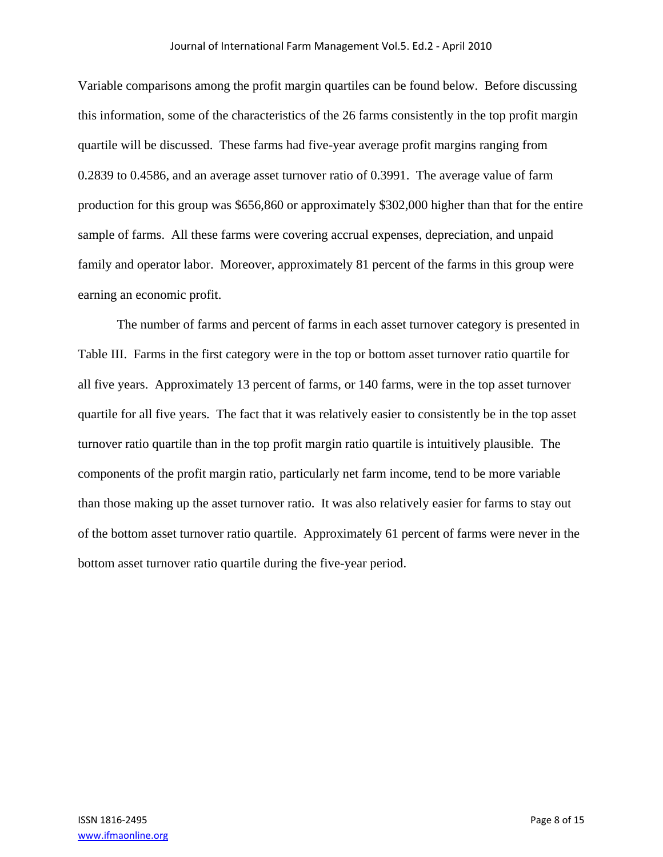Variable comparisons among the profit margin quartiles can be found below. Before discussing this information, some of the characteristics of the 26 farms consistently in the top profit margin quartile will be discussed. These farms had five-year average profit margins ranging from 0.2839 to 0.4586, and an average asset turnover ratio of 0.3991. The average value of farm production for this group was \$656,860 or approximately \$302,000 higher than that for the entire sample of farms. All these farms were covering accrual expenses, depreciation, and unpaid family and operator labor. Moreover, approximately 81 percent of the farms in this group were earning an economic profit.

The number of farms and percent of farms in each asset turnover category is presented in Table III. Farms in the first category were in the top or bottom asset turnover ratio quartile for all five years. Approximately 13 percent of farms, or 140 farms, were in the top asset turnover quartile for all five years. The fact that it was relatively easier to consistently be in the top asset turnover ratio quartile than in the top profit margin ratio quartile is intuitively plausible. The components of the profit margin ratio, particularly net farm income, tend to be more variable than those making up the asset turnover ratio. It was also relatively easier for farms to stay out of the bottom asset turnover ratio quartile. Approximately 61 percent of farms were never in the bottom asset turnover ratio quartile during the five-year period.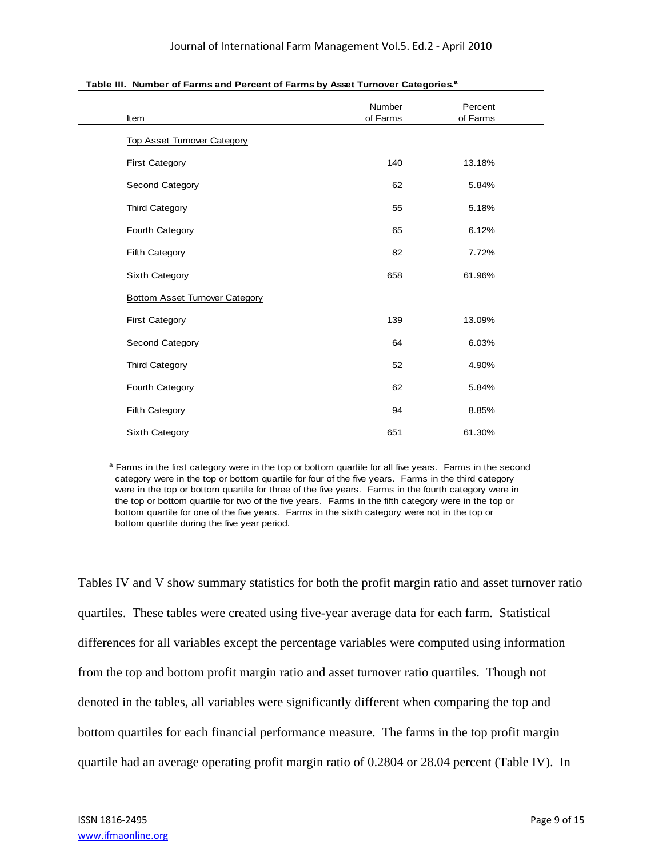| Item                                  | Number<br>of Farms | Percent<br>of Farms |
|---------------------------------------|--------------------|---------------------|
| <b>Top Asset Turnover Category</b>    |                    |                     |
| <b>First Category</b>                 | 140                | 13.18%              |
| Second Category                       | 62                 | 5.84%               |
| <b>Third Category</b>                 | 55                 | 5.18%               |
| Fourth Category                       | 65                 | 6.12%               |
| Fifth Category                        | 82                 | 7.72%               |
| Sixth Category                        | 658                | 61.96%              |
| <b>Bottom Asset Turnover Category</b> |                    |                     |
| <b>First Category</b>                 | 139                | 13.09%              |
| Second Category                       | 64                 | 6.03%               |
| Third Category                        | 52                 | 4.90%               |
| Fourth Category                       | 62                 | 5.84%               |
| Fifth Category                        | 94                 | 8.85%               |
| Sixth Category                        | 651                | 61.30%              |

**Table III. Number of Farms and Percent of Farms by Asset Turnover Categories.<sup>a</sup>**

<sup>a</sup> Farms in the first category were in the top or bottom quartile for all five years. Farms in the second category were in the top or bottom quartile for four of the five years. Farms in the third category were in the top or bottom quartile for three of the five years. Farms in the fourth category were in the top or bottom quartile for two of the five years. Farms in the fifth category were in the top or bottom quartile for one of the five years. Farms in the sixth category were not in the top or bottom quartile during the five year period.

Tables IV and V show summary statistics for both the profit margin ratio and asset turnover ratio quartiles. These tables were created using five-year average data for each farm. Statistical differences for all variables except the percentage variables were computed using information from the top and bottom profit margin ratio and asset turnover ratio quartiles. Though not denoted in the tables, all variables were significantly different when comparing the top and bottom quartiles for each financial performance measure. The farms in the top profit margin quartile had an average operating profit margin ratio of 0.2804 or 28.04 percent (Table IV). In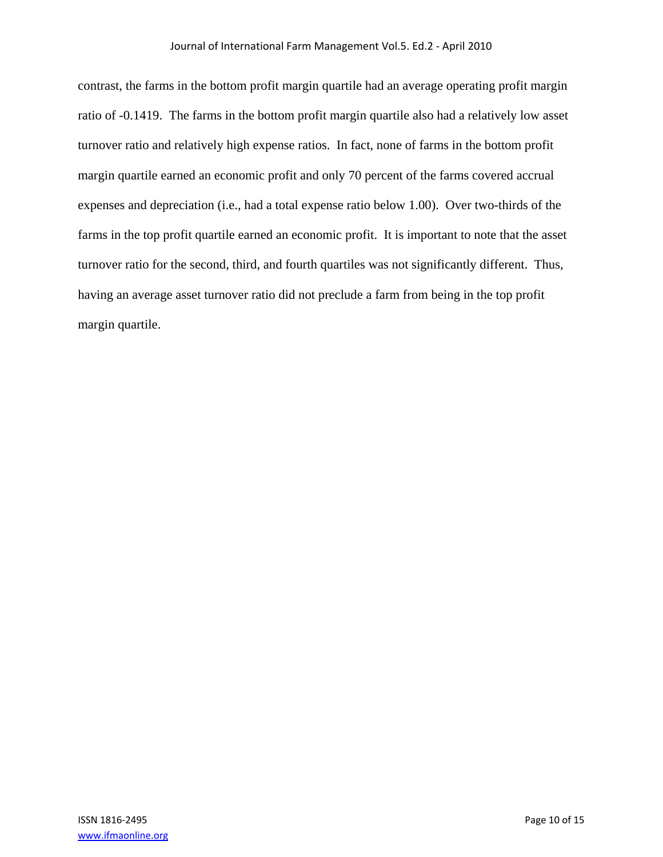contrast, the farms in the bottom profit margin quartile had an average operating profit margin ratio of -0.1419. The farms in the bottom profit margin quartile also had a relatively low asset turnover ratio and relatively high expense ratios. In fact, none of farms in the bottom profit margin quartile earned an economic profit and only 70 percent of the farms covered accrual expenses and depreciation (i.e., had a total expense ratio below 1.00). Over two-thirds of the farms in the top profit quartile earned an economic profit. It is important to note that the asset turnover ratio for the second, third, and fourth quartiles was not significantly different. Thus, having an average asset turnover ratio did not preclude a farm from being in the top profit margin quartile.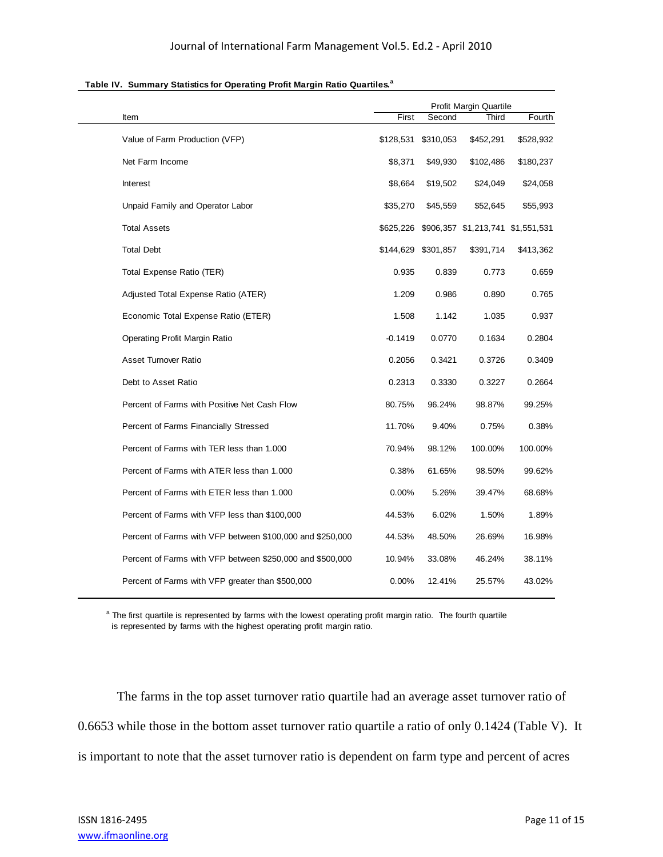|                                                           | Profit Margin Quartile |           |                                             |           |
|-----------------------------------------------------------|------------------------|-----------|---------------------------------------------|-----------|
| Item                                                      | First                  | Second    | Third                                       | Fourth    |
| Value of Farm Production (VFP)                            | \$128,531              | \$310,053 | \$452,291                                   | \$528,932 |
| Net Farm Income                                           | \$8,371                | \$49,930  | \$102,486                                   | \$180,237 |
| Interest                                                  | \$8,664                | \$19,502  | \$24,049                                    | \$24,058  |
| Unpaid Family and Operator Labor                          | \$35,270               | \$45,559  | \$52,645                                    | \$55,993  |
| <b>Total Assets</b>                                       |                        |           | \$625,226 \$906,357 \$1,213,741 \$1,551,531 |           |
| <b>Total Debt</b>                                         | \$144,629 \$301,857    |           | \$391,714                                   | \$413,362 |
| Total Expense Ratio (TER)                                 | 0.935                  | 0.839     | 0.773                                       | 0.659     |
| Adjusted Total Expense Ratio (ATER)                       | 1.209                  | 0.986     | 0.890                                       | 0.765     |
| Economic Total Expense Ratio (ETER)                       | 1.508                  | 1.142     | 1.035                                       | 0.937     |
| Operating Profit Margin Ratio                             | -0.1419                | 0.0770    | 0.1634                                      | 0.2804    |
| Asset Turnover Ratio                                      | 0.2056                 | 0.3421    | 0.3726                                      | 0.3409    |
| Debt to Asset Ratio                                       | 0.2313                 | 0.3330    | 0.3227                                      | 0.2664    |
| Percent of Farms with Positive Net Cash Flow              | 80.75%                 | 96.24%    | 98.87%                                      | 99.25%    |
| Percent of Farms Financially Stressed                     | 11.70%                 | 9.40%     | 0.75%                                       | 0.38%     |
| Percent of Farms with TER less than 1.000                 | 70.94%                 | 98.12%    | 100.00%                                     | 100.00%   |
| Percent of Farms with ATER less than 1.000                | 0.38%                  | 61.65%    | 98.50%                                      | 99.62%    |
| Percent of Farms with ETER less than 1.000                | 0.00%                  | 5.26%     | 39.47%                                      | 68.68%    |
| Percent of Farms with VFP less than \$100,000             | 44.53%                 | 6.02%     | 1.50%                                       | 1.89%     |
| Percent of Farms with VFP between \$100,000 and \$250,000 | 44.53%                 | 48.50%    | 26.69%                                      | 16.98%    |
| Percent of Farms with VFP between \$250,000 and \$500,000 | 10.94%                 | 33.08%    | 46.24%                                      | 38.11%    |
| Percent of Farms with VFP greater than \$500,000          | 0.00%                  | 12.41%    | 25.57%                                      | 43.02%    |

#### **Table IV. Summary Statistics for Operating Profit Margin Ratio Quartiles.<sup>a</sup>**

<sup>a</sup> The first quartile is represented by farms with the lowest operating profit margin ratio. The fourth quartile is represented by farms with the highest operating profit margin ratio.

The farms in the top asset turnover ratio quartile had an average asset turnover ratio of 0.6653 while those in the bottom asset turnover ratio quartile a ratio of only 0.1424 (Table V). It is important to note that the asset turnover ratio is dependent on farm type and percent of acres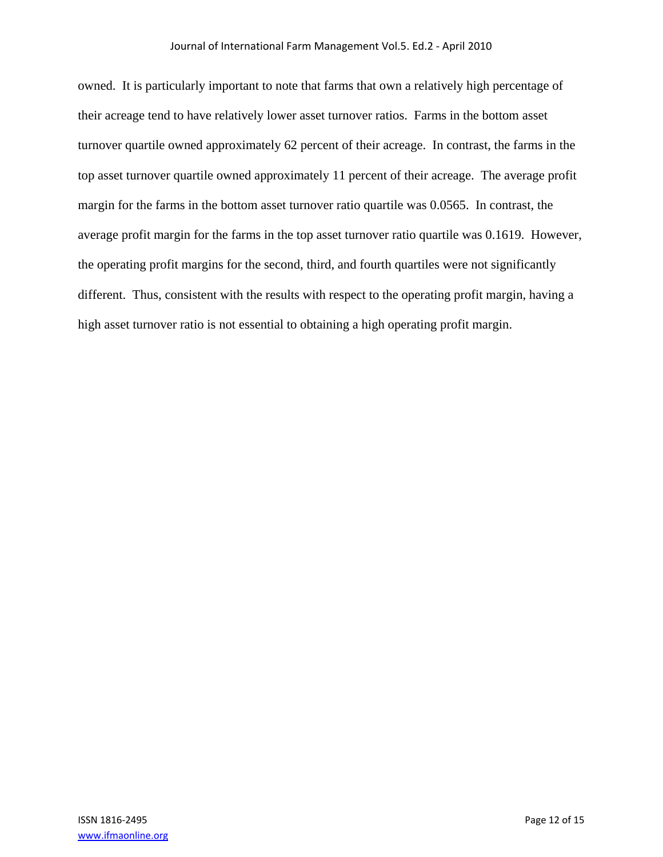owned. It is particularly important to note that farms that own a relatively high percentage of their acreage tend to have relatively lower asset turnover ratios. Farms in the bottom asset turnover quartile owned approximately 62 percent of their acreage. In contrast, the farms in the top asset turnover quartile owned approximately 11 percent of their acreage. The average profit margin for the farms in the bottom asset turnover ratio quartile was 0.0565. In contrast, the average profit margin for the farms in the top asset turnover ratio quartile was 0.1619. However, the operating profit margins for the second, third, and fourth quartiles were not significantly different. Thus, consistent with the results with respect to the operating profit margin, having a high asset turnover ratio is not essential to obtaining a high operating profit margin.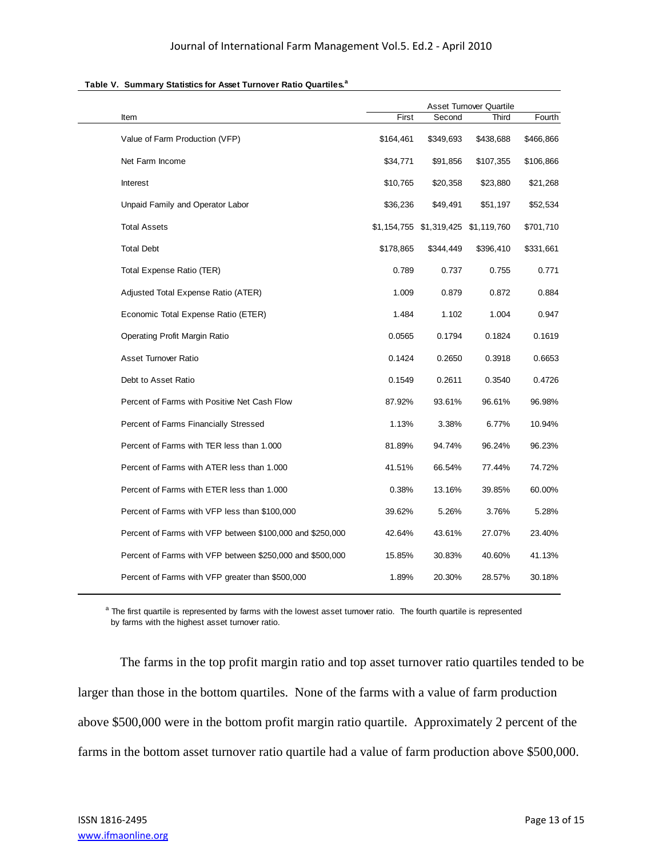|                                                           | <b>Asset Turnover Quartile</b> |                                     |           |           |
|-----------------------------------------------------------|--------------------------------|-------------------------------------|-----------|-----------|
| Item                                                      | First                          | Second                              | Third     | Fourth    |
| Value of Farm Production (VFP)                            | \$164,461                      | \$349,693                           | \$438,688 | \$466,866 |
| Net Farm Income                                           | \$34,771                       | \$91,856                            | \$107,355 | \$106,866 |
| Interest                                                  | \$10,765                       | \$20,358                            | \$23,880  | \$21,268  |
| Unpaid Family and Operator Labor                          | \$36,236                       | \$49,491                            | \$51,197  | \$52,534  |
| <b>Total Assets</b>                                       |                                | \$1,154,755 \$1,319,425 \$1,119,760 |           | \$701,710 |
| <b>Total Debt</b>                                         | \$178,865                      | \$344,449                           | \$396,410 | \$331,661 |
| Total Expense Ratio (TER)                                 | 0.789                          | 0.737                               | 0.755     | 0.771     |
| Adjusted Total Expense Ratio (ATER)                       | 1.009                          | 0.879                               | 0.872     | 0.884     |
| Economic Total Expense Ratio (ETER)                       | 1.484                          | 1.102                               | 1.004     | 0.947     |
| Operating Profit Margin Ratio                             | 0.0565                         | 0.1794                              | 0.1824    | 0.1619    |
| <b>Asset Turnover Ratio</b>                               | 0.1424                         | 0.2650                              | 0.3918    | 0.6653    |
| Debt to Asset Ratio                                       | 0.1549                         | 0.2611                              | 0.3540    | 0.4726    |
| Percent of Farms with Positive Net Cash Flow              | 87.92%                         | 93.61%                              | 96.61%    | 96.98%    |
| Percent of Farms Financially Stressed                     | 1.13%                          | 3.38%                               | 6.77%     | 10.94%    |
| Percent of Farms with TER less than 1.000                 | 81.89%                         | 94.74%                              | 96.24%    | 96.23%    |
| Percent of Farms with ATER less than 1.000                | 41.51%                         | 66.54%                              | 77.44%    | 74.72%    |
| Percent of Farms with ETER less than 1.000                | 0.38%                          | 13.16%                              | 39.85%    | 60.00%    |
| Percent of Farms with VFP less than \$100,000             | 39.62%                         | 5.26%                               | 3.76%     | 5.28%     |
| Percent of Farms with VFP between \$100,000 and \$250,000 | 42.64%                         | 43.61%                              | 27.07%    | 23.40%    |
| Percent of Farms with VFP between \$250,000 and \$500,000 | 15.85%                         | 30.83%                              | 40.60%    | 41.13%    |
| Percent of Farms with VFP greater than \$500,000          | 1.89%                          | 20.30%                              | 28.57%    | 30.18%    |

#### **Table V. Summary Statistics for Asset Turnover Ratio Quartiles.<sup>a</sup>**

<sup>a</sup> The first quartile is represented by farms with the lowest asset turnover ratio. The fourth quartile is represented by farms with the highest asset turnover ratio.

 The farms in the top profit margin ratio and top asset turnover ratio quartiles tended to be larger than those in the bottom quartiles. None of the farms with a value of farm production above \$500,000 were in the bottom profit margin ratio quartile. Approximately 2 percent of the farms in the bottom asset turnover ratio quartile had a value of farm production above \$500,000.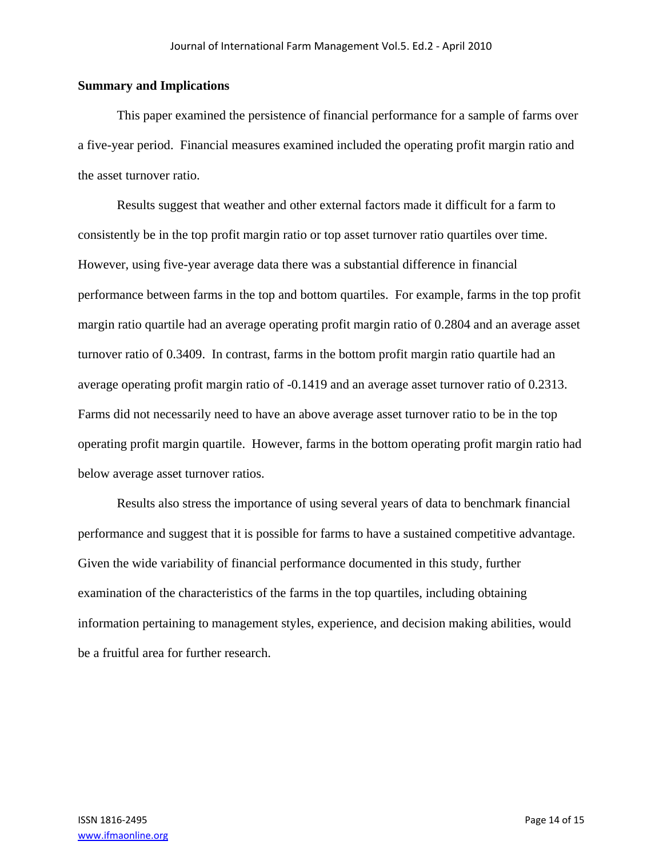### **Summary and Implications**

 This paper examined the persistence of financial performance for a sample of farms over a five-year period. Financial measures examined included the operating profit margin ratio and the asset turnover ratio.

 Results suggest that weather and other external factors made it difficult for a farm to consistently be in the top profit margin ratio or top asset turnover ratio quartiles over time. However, using five-year average data there was a substantial difference in financial performance between farms in the top and bottom quartiles. For example, farms in the top profit margin ratio quartile had an average operating profit margin ratio of 0.2804 and an average asset turnover ratio of 0.3409. In contrast, farms in the bottom profit margin ratio quartile had an average operating profit margin ratio of -0.1419 and an average asset turnover ratio of 0.2313. Farms did not necessarily need to have an above average asset turnover ratio to be in the top operating profit margin quartile. However, farms in the bottom operating profit margin ratio had below average asset turnover ratios.

 Results also stress the importance of using several years of data to benchmark financial performance and suggest that it is possible for farms to have a sustained competitive advantage. Given the wide variability of financial performance documented in this study, further examination of the characteristics of the farms in the top quartiles, including obtaining information pertaining to management styles, experience, and decision making abilities, would be a fruitful area for further research.